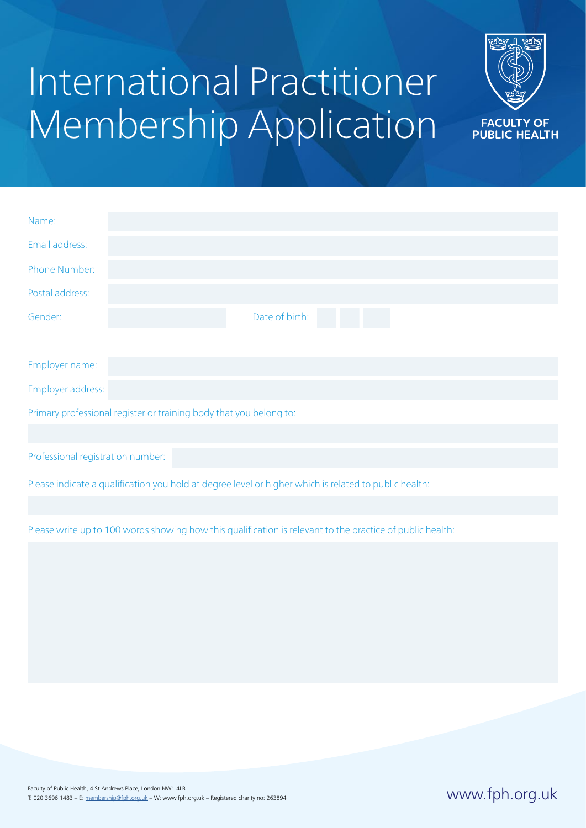## International Practitioner Membership Application



| Name:                                                                                                 |                |
|-------------------------------------------------------------------------------------------------------|----------------|
| Email address:                                                                                        |                |
| Phone Number:                                                                                         |                |
| Postal address:                                                                                       |                |
| Gender:                                                                                               | Date of birth: |
|                                                                                                       |                |
| Employer name:                                                                                        |                |
| Employer address:                                                                                     |                |
| Primary professional register or training body that you belong to:                                    |                |
|                                                                                                       |                |
| Professional registration number:                                                                     |                |
| Please indicate a qualification you hold at degree level or higher which is related to public health: |                |

Please write up to 100 words showing how this qualification is relevant to the practice of public health: